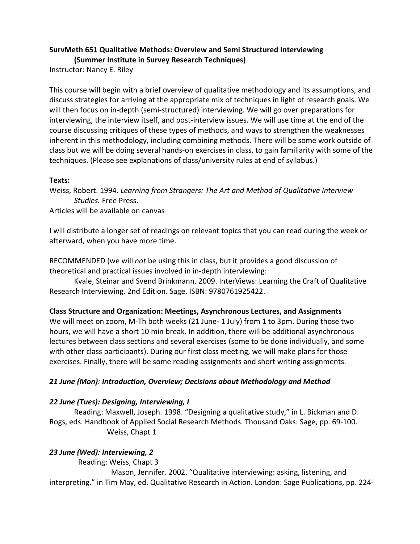### **SurvMeth 651 Qualitative Methods: Overview and Semi Structured Interviewing (Summer Institute in Survey Research Techniques)**

Instructor: Nancy E. Riley

This course will begin with a brief overview of qualitative methodology and its assumptions, and discuss strategies for arriving at the appropriate mix of techniques in light of research goals. We will then focus on in-depth (semi-structured) interviewing. We will go over preparations for interviewing, the interview itself, and post-interview issues. We will use time at the end of the course discussing critiques of these types of methods, and ways to strengthen the weaknesses inherent in this methodology, including combining methods. There will be some work outside of class but we will be doing several hands-on exercises in class, to gain familiarity with some of the techniques. (Please see explanations of class/university rules at end of syllabus.)

#### **Texts:**

Weiss, Robert. 1994. *Learning from Strangers: The Art and Method of Qualitative Interview Studies.* Free Press.

Articles will be available on canvas

I will distribute a longer set of readings on relevant topics that you can read during the week or afterward, when you have more time.

RECOMMENDED (we will *not* be using this in class, but it provides a good discussion of theoretical and practical issues involved in in-depth interviewing:

Kvale, Steinar and Svend Brinkmann. 2009. InterViews: Learning the Craft of Qualitative Research Interviewing. 2nd Edition. Sage. ISBN: 9780761925422.

### **Class Structure and Organization: Meetings, Asynchronous Lectures, and Assignments**

We will meet on zoom, M-Th both weeks (21 June- 1 July) from 1 to 3pm. During those two hours, we will have a short 10 min break. In addition, there will be additional asynchronous lectures between class sections and several exercises (some to be done individually, and some with other class participants). During our first class meeting, we will make plans for those exercises. Finally, there will be some reading assignments and short writing assignments.

### *21 June (Mon): Introduction, Overview; Decisions about Methodology and Method*

### *22 June (Tues): Designing, Interviewing, I*

Reading: Maxwell, Joseph. 1998. "Designing a qualitative study," in L. Bickman and D. Rogs, eds. Handbook of Applied Social Research Methods. Thousand Oaks: Sage, pp. 69-100. Weiss, Chapt 1

### *23 June (Wed): Interviewing, 2*

Reading: Weiss, Chapt 3

 Mason, Jennifer. 2002. "Qualitative interviewing: asking, listening, and interpreting." in Tim May, ed. Qualitative Research in Action. London: Sage Publications, pp. 224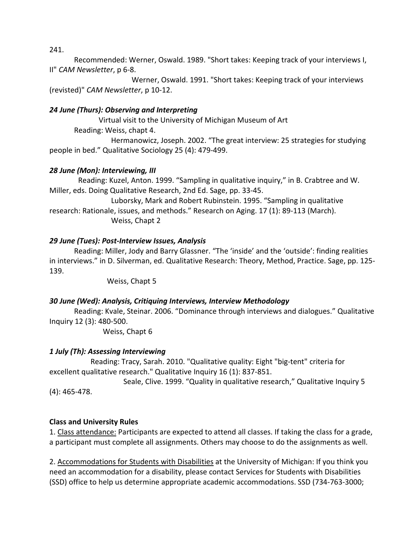241.

Recommended: Werner, Oswald. 1989. "Short takes: Keeping track of your interviews I, II" *CAM Newsletter*, p 6-8.

 Werner, Oswald. 1991. "Short takes: Keeping track of your interviews (revisted)" *CAM Newsletter*, p 10-12.

# *24 June (Thurs): Observing and Interpreting*

Virtual visit to the University of Michigan Museum of Art Reading: Weiss, chapt 4.

 Hermanowicz, Joseph. 2002. "The great interview: 25 strategies for studying people in bed." Qualitative Sociology 25 (4): 479-499.

### *28 June (Mon): Interviewing, III*

Reading: Kuzel, Anton. 1999. "Sampling in qualitative inquiry," in B. Crabtree and W. Miller, eds. Doing Qualitative Research, 2nd Ed. Sage, pp. 33-45.

 Luborsky, Mark and Robert Rubinstein. 1995. "Sampling in qualitative research: Rationale, issues, and methods." Research on Aging. 17 (1): 89-113 (March). Weiss, Chapt 2

### *29 June (Tues): Post-Interview Issues, Analysis*

Reading: Miller, Jody and Barry Glassner. "The 'inside' and the 'outside': finding realities in interviews." in D. Silverman, ed. Qualitative Research: Theory, Method, Practice. Sage, pp. 125- 139.

Weiss, Chapt 5

### *30 June (Wed): Analysis, Critiquing Interviews, Interview Methodology*

Reading: Kvale, Steinar. 2006. "Dominance through interviews and dialogues." Qualitative Inquiry 12 (3): 480-500.

Weiss, Chapt 6

# *1 July (Th): Assessing Interviewing*

 Reading: Tracy, Sarah. 2010. "Qualitative quality: Eight "big-tent" criteria for excellent qualitative research." Qualitative Inquiry 16 (1): 837-851.

 Seale, Clive. 1999. "Quality in qualitative research," Qualitative Inquiry 5 (4): 465-478.

# **Class and University Rules**

1. Class attendance: Participants are expected to attend all classes. If taking the class for a grade, a participant must complete all assignments. Others may choose to do the assignments as well.

2. Accommodations for Students with Disabilities at the University of Michigan: If you think you need an accommodation for a disability, please contact Services for Students with Disabilities (SSD) office to help us determine appropriate academic accommodations. SSD (734-763-3000;